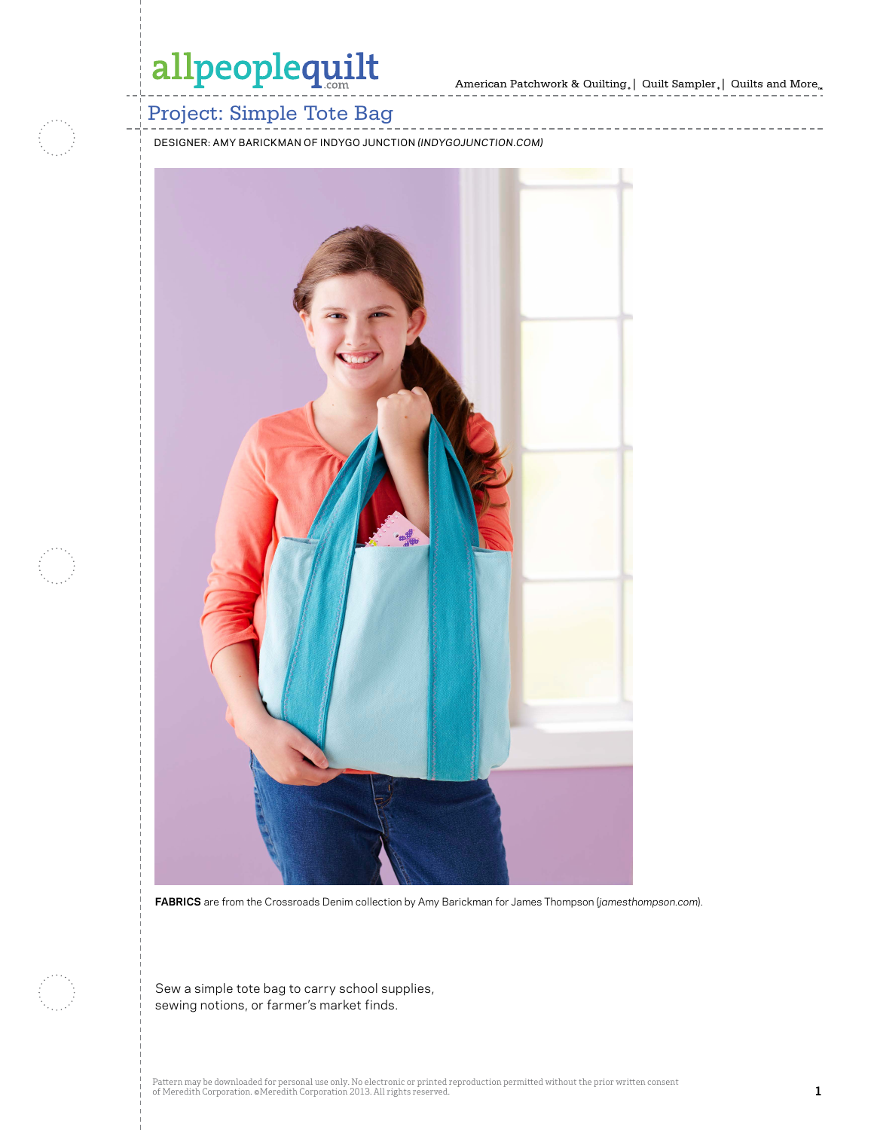---------



### Project: Simple Tote Bag

DESIGNER: AMY BARICKMAN OF INDYGO JUNCTION *(INDYGOJUNCTION.COM)*



**FABRICS** are from the Crossroads Denim collection by Amy Barickman for James Thompson (*jamesthompson.com*).

Sew a simple tote bag to carry school supplies, sewing notions, or farmer's market finds.

Pattern may be downloaded for personal use only. No electronic or printed reproduction permitted without the prior written consent of Meredith Corporation. ©Meredith Corporation 2013. All rights reserved. **1**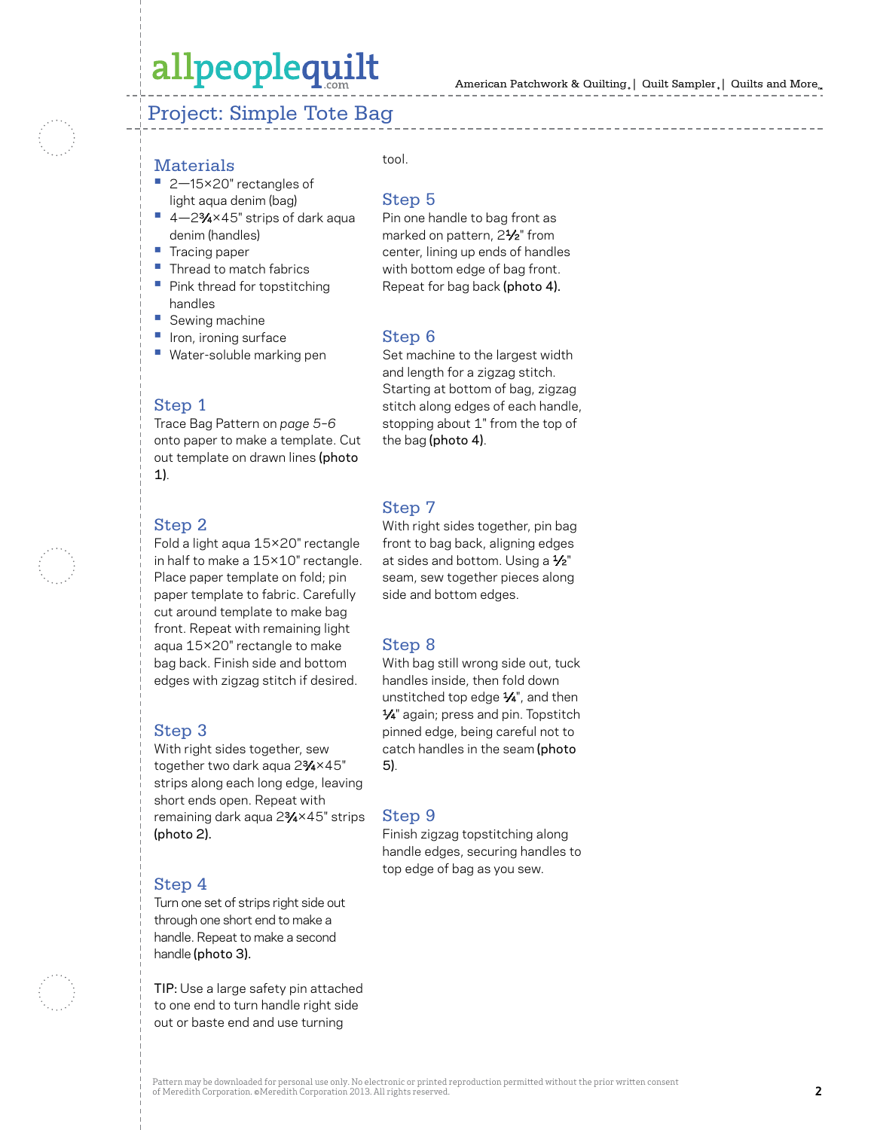### Project: Simple Tote Bag

- Materials **•** 2—15×20" rectangles of light aqua denim (bag)
- **•** 4—2 3⁄4×45" strips of dark aqua denim (handles)
- 
- **•** Tracing paper **•** Thread to match fabrics **•** Pink thread for topstitching
- handles
- 
- 
- **•** Sewing machine **•** Iron, ironing surface **•** Water-soluble marking pen

#### Step 1

Trace Bag Pattern on *page 5–6* onto paper to make a template. Cut out template on drawn lines (photo 1).

#### Step 2

Fold a light aqua 15×20" rectangle in half to make a 15×10" rectangle. Place paper template on fold; pin paper template to fabric. Carefully cut around template to make bag front. Repeat with remaining light aqua 15×20" rectangle to make bag back. Finish side and bottom edges with zigzag stitch if desired.

#### Step 3

With right sides together, sew together two dark aqua 2 3⁄4×45" strips along each long edge, leaving short ends open. Repeat with remaining dark aqua 2 3⁄4×45" strips (photo 2).

#### Step 4

Turn one set of strips right side out through one short end to make a handle. Repeat to make a second handle (photo 3).

TIP: Use a large safety pin attached to one end to turn handle right side out or baste end and use turning

#### tool.

#### Step 5

Pin one handle to bag front as marked on pattern, 2 1⁄2" from center, lining up ends of handles with bottom edge of bag front. Repeat for bag back (photo 4).

#### Step 6

Set machine to the largest width and length for a zigzag stitch. Starting at bottom of bag, zigzag stitch along edges of each handle, stopping about 1" from the top of the bag (photo 4) .

#### Step 7

With right sides together, pin bag front to bag back, aligning edges at sides and bottom. Using a 1⁄2" seam, sew together pieces along side and bottom edges.

#### Step 8

With bag still wrong side out, tuck handles inside, then fold down unstitched top edge 1⁄4", and then 1⁄4" again; press and pin. Topstitch pinned edge, being careful not to catch handles in the seam (photo 5) .

#### Step 9

Finish zigzag topstitching along handle edges, securing handles to top edge of bag as you sew.



Pattern may be downloaded for personal use only. No electronic or printed reproduction permitted without the prior written consent of Meredith Corporation. ©Meredith Corporation 2013. All rights reserved.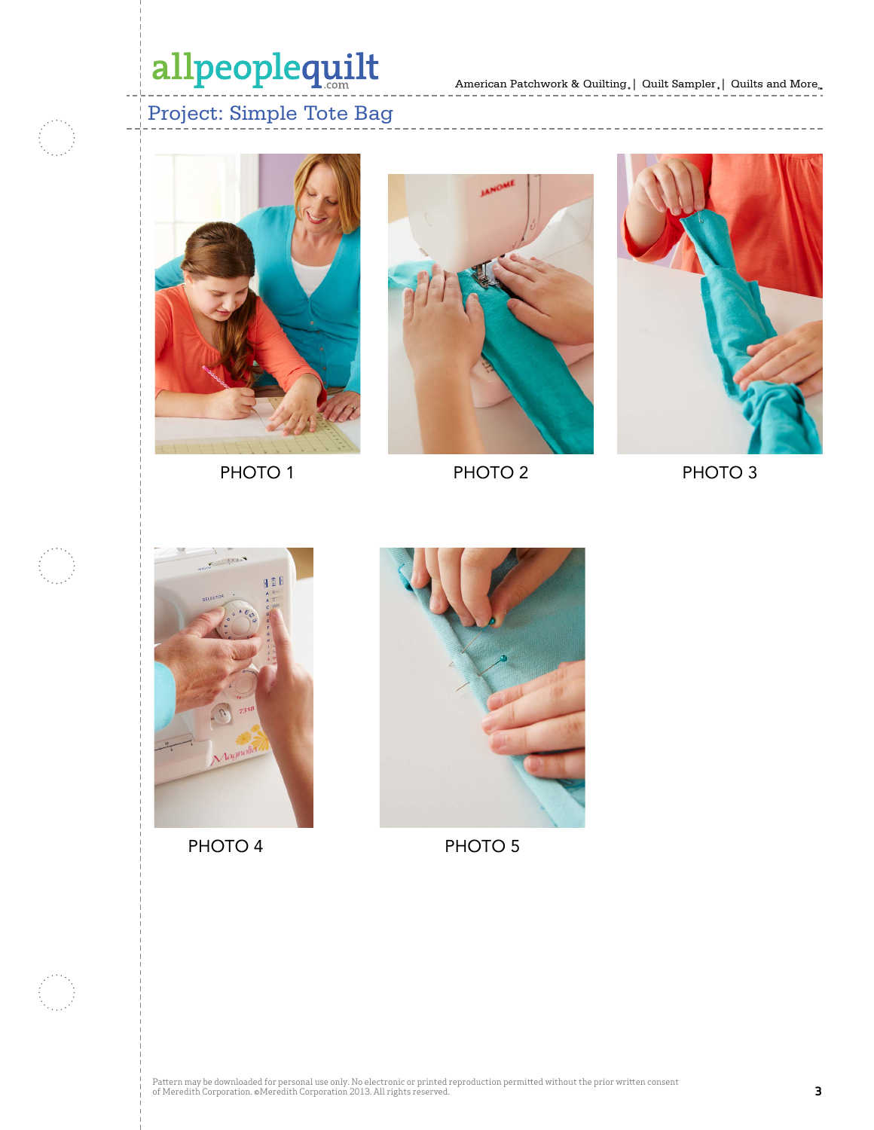$\cdots\cdots\cdots\cdots$ 

### Project: Simple Tote Bag



PHOTO<sub>1</sub>



PHOTO 2 PHOTO 3



PHOTO 4 PHOTO 5

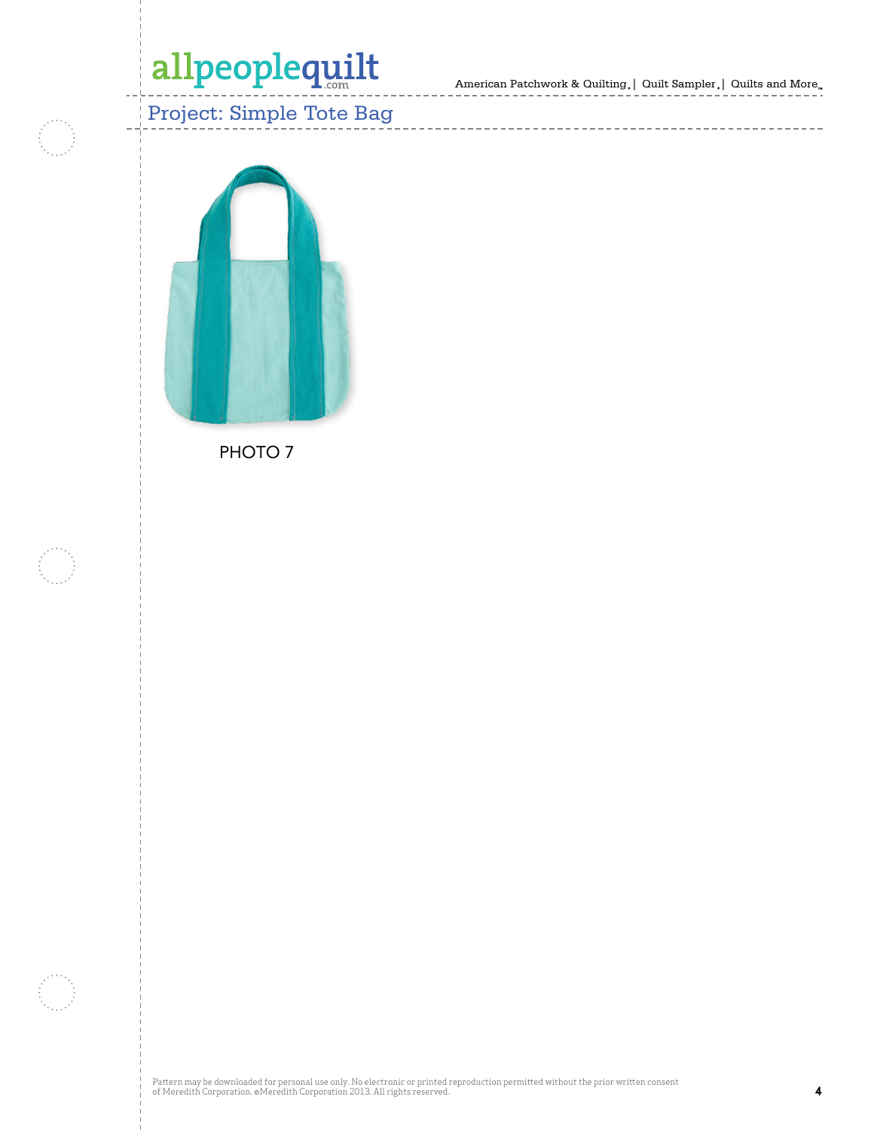American Patchwork & Quilting,  $\mid$  Quilt Sampler ,  $\mid$  Quilts and More.

-----------------



PHOTO<sub>7</sub>

Pattern may be downloaded for personal use only. No electronic or printed reproduction permitted without the prior written consent of Meredith Corporation. ©Meredith Corporation 2013. All rights reserved. **4**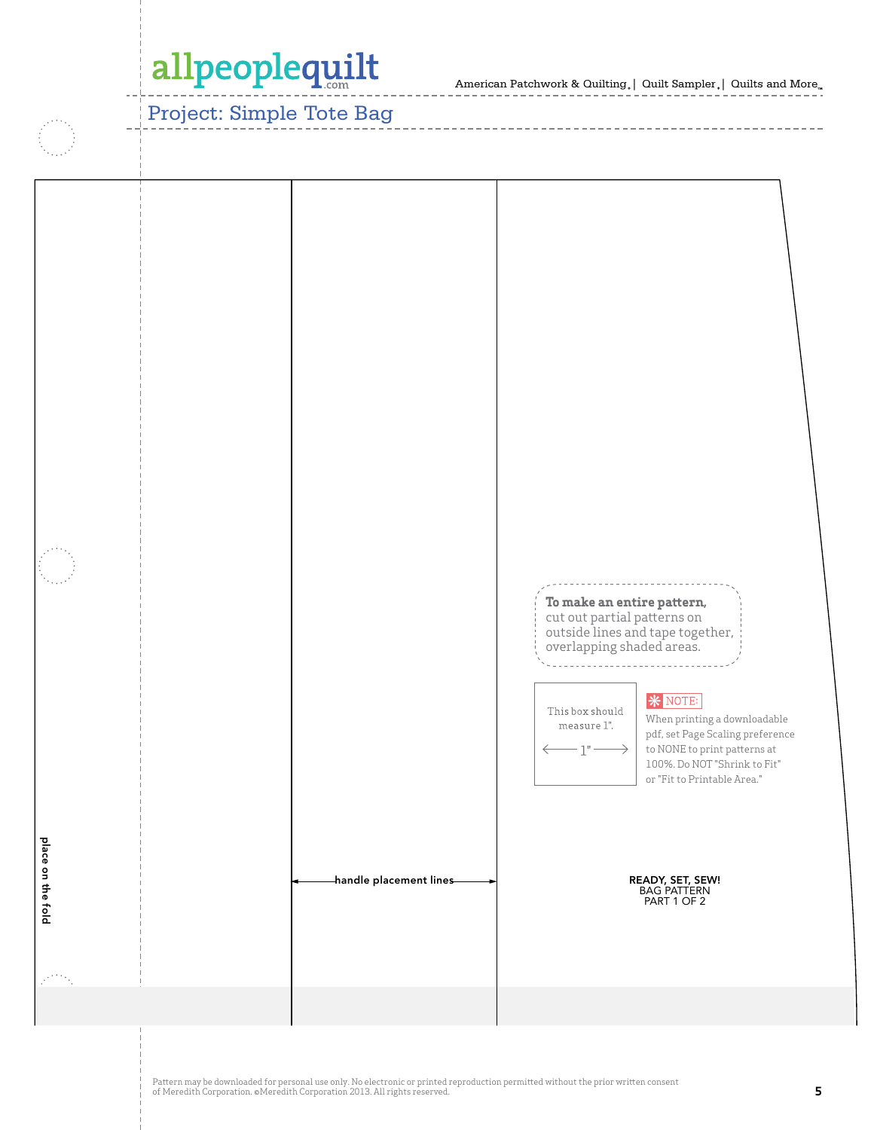American Patchwork & Quilting | Quilt Sampler | Quilts and More  $\sim$   $\sim$   $\sim$   $\sim$   $\sim$   $\sim$   $\sim$   $\sim$ 

### Project: Simple Tote Bag